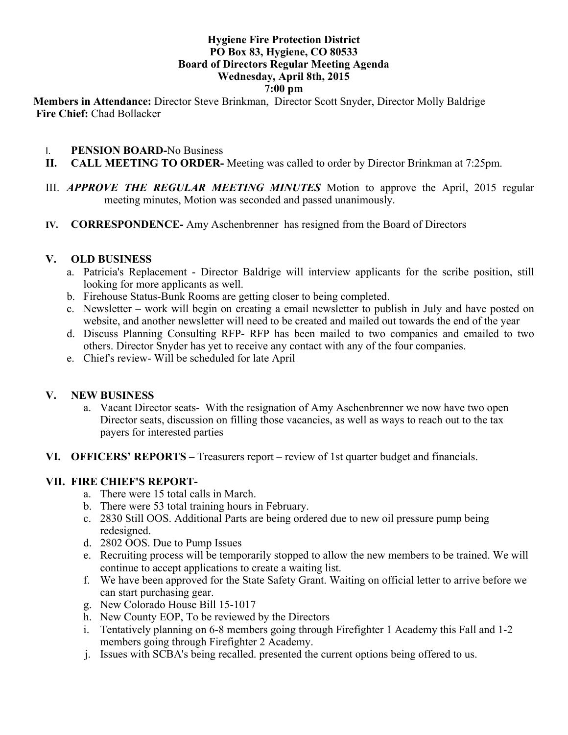#### **Hygiene Fire Protection District PO Box 83, Hygiene, CO 80533 Board of Directors Regular Meeting Agenda Wednesday, April 8th, 2015 7:00 pm**

**Members in Attendance:** Director Steve Brinkman, Director Scott Snyder, Director Molly Baldrige **Fire Chief:** Chad Bollacker

- I. **PENSION BOARD-**No Business
- **II. CALL MEETING TO ORDER-** Meeting was called to order by Director Brinkman at 7:25pm.
- III. *APPROVE THE REGULAR MEETING MINUTES* Motion to approve the April, 2015 regular meeting minutes, Motion was seconded and passed unanimously.
- **IV. CORRESPONDENCE-** Amy Aschenbrenner has resigned from the Board of Directors

### **V. OLD BUSINESS**

- a. Patricia's Replacement Director Baldrige will interview applicants for the scribe position, still looking for more applicants as well.
- b. Firehouse Status-Bunk Rooms are getting closer to being completed.
- c. Newsletter work will begin on creating a email newsletter to publish in July and have posted on website, and another newsletter will need to be created and mailed out towards the end of the year
- d. Discuss Planning Consulting RFP- RFP has been mailed to two companies and emailed to two others. Director Snyder has yet to receive any contact with any of the four companies.
- e. Chief's review- Will be scheduled for late April

# **V. NEW BUSINESS**

- a. Vacant Director seats- With the resignation of Amy Aschenbrenner we now have two open Director seats, discussion on filling those vacancies, as well as ways to reach out to the tax payers for interested parties
- **VI. OFFICERS' REPORTS –** Treasurers report review of 1st quarter budget and financials.

# **VII. FIRE CHIEF'S REPORT-**

- a. There were 15 total calls in March.
- b. There were 53 total training hours in February.
- c. 2830 Still OOS. Additional Parts are being ordered due to new oil pressure pump being redesigned.
- d. 2802 OOS. Due to Pump Issues
- e. Recruiting process will be temporarily stopped to allow the new members to be trained. We will continue to accept applications to create a waiting list.
- f. We have been approved for the State Safety Grant. Waiting on official letter to arrive before we can start purchasing gear.
- g. New Colorado House Bill 15-1017
- h. New County EOP, To be reviewed by the Directors
- i. Tentatively planning on 6-8 members going through Firefighter 1 Academy this Fall and 1-2 members going through Firefighter 2 Academy.
- j. Issues with SCBA's being recalled. presented the current options being offered to us.